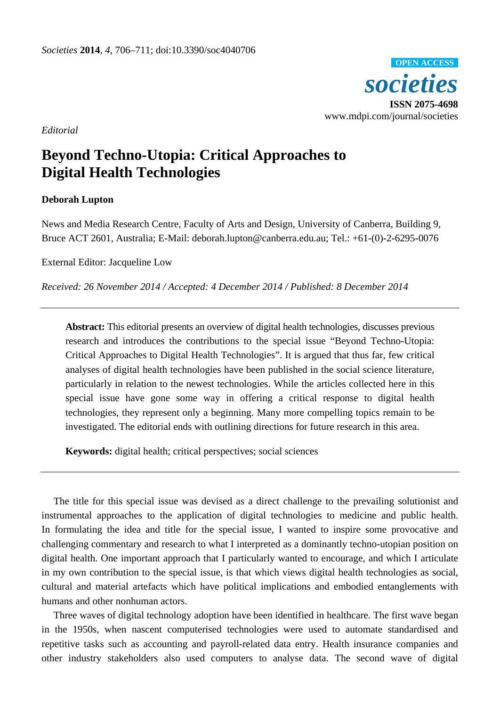

*Editorial*

## **Beyond Techno-Utopia: Critical Approaches to Digital Health Technologies**

## **Deborah Lupton**

News and Media Research Centre, Faculty of Arts and Design, University of Canberra, Building 9, Bruce ACT 2601, Australia; E-Mail: deborah.lupton@canberra.edu.au; Tel.: +61-(0)-2-6295-0076

External Editor: Jacqueline Low

*Received: 26 November 2014 / Accepted: 4 December 2014 / Published: 8 December 2014*

**Abstract:** This editorial presents an overview of digital health technologies, discusses previous research and introduces the contributions to the special issue "Beyond Techno-Utopia: Critical Approaches to Digital Health Technologies". It is argued that thus far, few critical analyses of digital health technologies have been published in the social science literature, particularly in relation to the newest technologies. While the articles collected here in this special issue have gone some way in offering a critical response to digital health technologies, they represent only a beginning. Many more compelling topics remain to be investigated. The editorial ends with outlining directions for future research in this area.

**Keywords:** digital health; critical perspectives; social sciences

The title for this special issue was devised as a direct challenge to the prevailing solutionist and instrumental approaches to the application of digital technologies to medicine and public health. In formulating the idea and title for the special issue, I wanted to inspire some provocative and challenging commentary and research to what I interpreted as a dominantly techno-utopian position on digital health. One important approach that I particularly wanted to encourage, and which I articulate in my own contribution to the special issue, is that which views digital health technologies as social, cultural and material artefacts which have political implications and embodied entanglements with humans and other nonhuman actors.

Three waves of digital technology adoption have been identified in healthcare. The first wave began in the 1950s, when nascent computerised technologies were used to automate standardised and repetitive tasks such as accounting and payroll-related data entry. Health insurance companies and other industry stakeholders also used computers to analyse data. The second wave of digital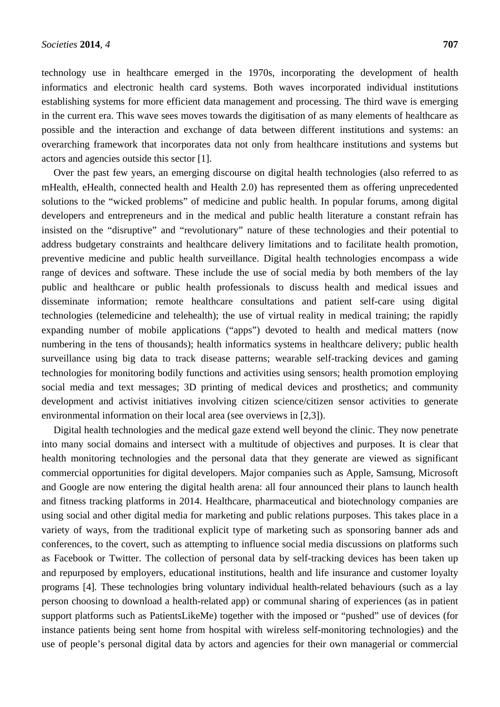technology use in healthcare emerged in the 1970s, incorporating the development of health informatics and electronic health card systems. Both waves incorporated individual institutions establishing systems for more efficient data management and processing. The third wave is emerging in the current era. This wave sees moves towards the digitisation of as many elements of healthcare as possible and the interaction and exchange of data between different institutions and systems: an overarching framework that incorporates data not only from healthcare institutions and systems but actors and agencies outside this sector [\[1\]](#page-4-0).

Over the past few years, an emerging discourse on digital health technologies (also referred to as mHealth, eHealth, connected health and Health 2.0) has represented them as offering unprecedented solutions to the "wicked problems" of medicine and public health. In popular forums, among digital developers and entrepreneurs and in the medical and public health literature a constant refrain has insisted on the "disruptive" and "revolutionary" nature of these technologies and their potential to address budgetary constraints and healthcare delivery limitations and to facilitate health promotion, preventive medicine and public health surveillance. Digital health technologies encompass a wide range of devices and software. These include the use of social media by both members of the lay public and healthcare or public health professionals to discuss health and medical issues and disseminate information; remote healthcare consultations and patient self-care using digital technologies (telemedicine and telehealth); the use of virtual reality in medical training; the rapidly expanding number of mobile applications ("apps") devoted to health and medical matters (now numbering in the tens of thousands); health informatics systems in healthcare delivery; public health surveillance using big data to track disease patterns; wearable self-tracking devices and gaming technologies for monitoring bodily functions and activities using sensors; health promotion employing social media and text messages; 3D printing of medical devices and prosthetics; and community development and activist initiatives involving citizen science/citizen sensor activities to generate environmental information on their local area (see overviews in [\[2,](#page-4-1)[3\]](#page-4-2)).

Digital health technologies and the medical gaze extend well beyond the clinic. They now penetrate into many social domains and intersect with a multitude of objectives and purposes. It is clear that health monitoring technologies and the personal data that they generate are viewed as significant commercial opportunities for digital developers. Major companies such as Apple, Samsung, Microsoft and Google are now entering the digital health arena: all four announced their plans to launch health and fitness tracking platforms in 2014. Healthcare, pharmaceutical and biotechnology companies are using social and other digital media for marketing and public relations purposes. This takes place in a variety of ways, from the traditional explicit type of marketing such as sponsoring banner ads and conferences, to the covert, such as attempting to influence social media discussions on platforms such as Facebook or Twitter. The collection of personal data by self-tracking devices has been taken up and repurposed by employers, educational institutions, health and life insurance and customer loyalty programs [\[4\]](#page-4-3). These technologies bring voluntary individual health-related behaviours (such as a lay person choosing to download a health-related app) or communal sharing of experiences (as in patient support platforms such as PatientsLikeMe) together with the imposed or "pushed" use of devices (for instance patients being sent home from hospital with wireless self-monitoring technologies) and the use of people's personal digital data by actors and agencies for their own managerial or commercial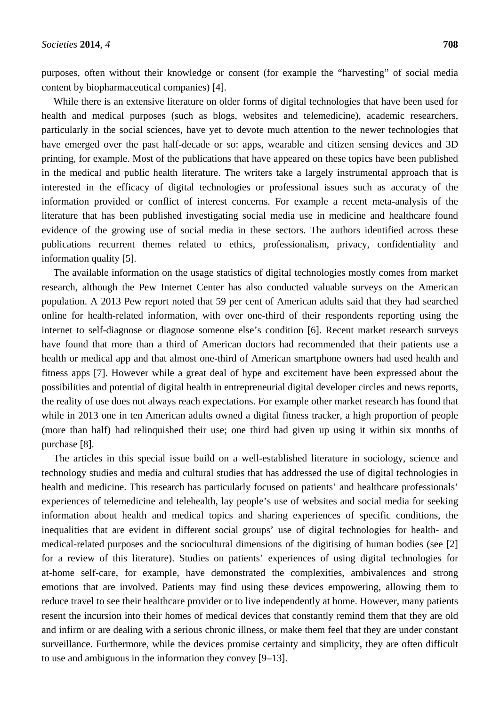purposes, often without their knowledge or consent (for example the "harvesting" of social media content by biopharmaceutical companies) [\[4\]](#page-4-3).

While there is an extensive literature on older forms of digital technologies that have been used for health and medical purposes (such as blogs, websites and telemedicine), academic researchers, particularly in the social sciences, have yet to devote much attention to the newer technologies that have emerged over the past half-decade or so: apps, wearable and citizen sensing devices and 3D printing, for example. Most of the publications that have appeared on these topics have been published in the medical and public health literature. The writers take a largely instrumental approach that is interested in the efficacy of digital technologies or professional issues such as accuracy of the information provided or conflict of interest concerns. For example a recent meta-analysis of the literature that has been published investigating social media use in medicine and healthcare found evidence of the growing use of social media in these sectors. The authors identified across these publications recurrent themes related to ethics, professionalism, privacy, confidentiality and information quality [\[5\]](#page-5-0).

The available information on the usage statistics of digital technologies mostly comes from market research, although the Pew Internet Center has also conducted valuable surveys on the American population. A 2013 Pew report noted that 59 per cent of American adults said that they had searched online for health-related information, with over one-third of their respondents reporting using the internet to self-diagnose or diagnose someone else's condition [\[6\]](#page-5-1). Recent market research surveys have found that more than a third of American doctors had recommended that their patients use a health or medical app and that almost one-third of American smartphone owners had used health and fitness apps [\[7\]](#page-5-2). However while a great deal of hype and excitement have been expressed about the possibilities and potential of digital health in entrepreneurial digital developer circles and news reports, the reality of use does not always reach expectations. For example other market research has found that while in 2013 one in ten American adults owned a digital fitness tracker, a high proportion of people (more than half) had relinquished their use; one third had given up using it within six months of purchase [\[8\]](#page-5-3).

The articles in this special issue build on a well-established literature in sociology, science and technology studies and media and cultural studies that has addressed the use of digital technologies in health and medicine. This research has particularly focused on patients' and healthcare professionals' experiences of telemedicine and telehealth, lay people's use of websites and social media for seeking information about health and medical topics and sharing experiences of specific conditions, the inequalities that are evident in different social groups' use of digital technologies for health- and medical-related purposes and the sociocultural dimensions of the digitising of human bodies [\(see \[2\]](#page-4-1) [for a review of this literature\)](#page-4-1). Studies on patients' experiences of using digital technologies for at-home self-care, for example, have demonstrated the complexities, ambivalences and strong emotions that are involved. Patients may find using these devices empowering, allowing them to reduce travel to see their healthcare provider or to live independently at home. However, many patients resent the incursion into their homes of medical devices that constantly remind them that they are old and infirm or are dealing with a serious chronic illness, or make them feel that they are under constant surveillance. Furthermore, while the devices promise certainty and simplicity, they are often difficult to use and ambiguous in the information they convey [\[9–13\]](#page-5-4).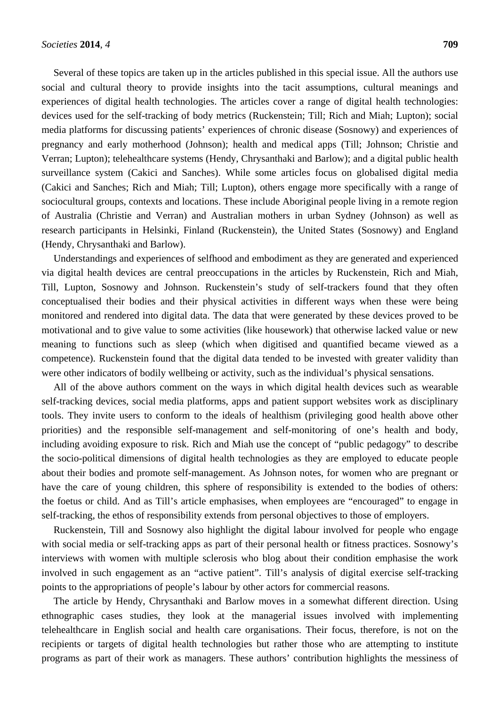Several of these topics are taken up in the articles published in this special issue. All the authors use social and cultural theory to provide insights into the tacit assumptions, cultural meanings and experiences of digital health technologies. The articles cover a range of digital health technologies: devices used for the self-tracking of body metrics (Ruckenstein; Till; Rich and Miah; Lupton); social media platforms for discussing patients' experiences of chronic disease (Sosnowy) and experiences of pregnancy and early motherhood (Johnson); health and medical apps (Till; Johnson; Christie and Verran; Lupton); telehealthcare systems (Hendy, Chrysanthaki and Barlow); and a digital public health surveillance system (Cakici and Sanches). While some articles focus on globalised digital media (Cakici and Sanches; Rich and Miah; Till; Lupton), others engage more specifically with a range of sociocultural groups, contexts and locations. These include Aboriginal people living in a remote region of Australia (Christie and Verran) and Australian mothers in urban Sydney (Johnson) as well as research participants in Helsinki, Finland (Ruckenstein), the United States (Sosnowy) and England (Hendy, Chrysanthaki and Barlow).

Understandings and experiences of selfhood and embodiment as they are generated and experienced via digital health devices are central preoccupations in the articles by Ruckenstein, Rich and Miah, Till, Lupton, Sosnowy and Johnson. Ruckenstein's study of self-trackers found that they often conceptualised their bodies and their physical activities in different ways when these were being monitored and rendered into digital data. The data that were generated by these devices proved to be motivational and to give value to some activities (like housework) that otherwise lacked value or new meaning to functions such as sleep (which when digitised and quantified became viewed as a competence). Ruckenstein found that the digital data tended to be invested with greater validity than were other indicators of bodily wellbeing or activity, such as the individual's physical sensations.

All of the above authors comment on the ways in which digital health devices such as wearable self-tracking devices, social media platforms, apps and patient support websites work as disciplinary tools. They invite users to conform to the ideals of healthism (privileging good health above other priorities) and the responsible self-management and self-monitoring of one's health and body, including avoiding exposure to risk. Rich and Miah use the concept of "public pedagogy" to describe the socio-political dimensions of digital health technologies as they are employed to educate people about their bodies and promote self-management. As Johnson notes, for women who are pregnant or have the care of young children, this sphere of responsibility is extended to the bodies of others: the foetus or child. And as Till's article emphasises, when employees are "encouraged" to engage in self-tracking, the ethos of responsibility extends from personal objectives to those of employers.

Ruckenstein, Till and Sosnowy also highlight the digital labour involved for people who engage with social media or self-tracking apps as part of their personal health or fitness practices. Sosnowy's interviews with women with multiple sclerosis who blog about their condition emphasise the work involved in such engagement as an "active patient". Till's analysis of digital exercise self-tracking points to the appropriations of people's labour by other actors for commercial reasons.

The article by Hendy, Chrysanthaki and Barlow moves in a somewhat different direction. Using ethnographic cases studies, they look at the managerial issues involved with implementing telehealthcare in English social and health care organisations. Their focus, therefore, is not on the recipients or targets of digital health technologies but rather those who are attempting to institute programs as part of their work as managers. These authors' contribution highlights the messiness of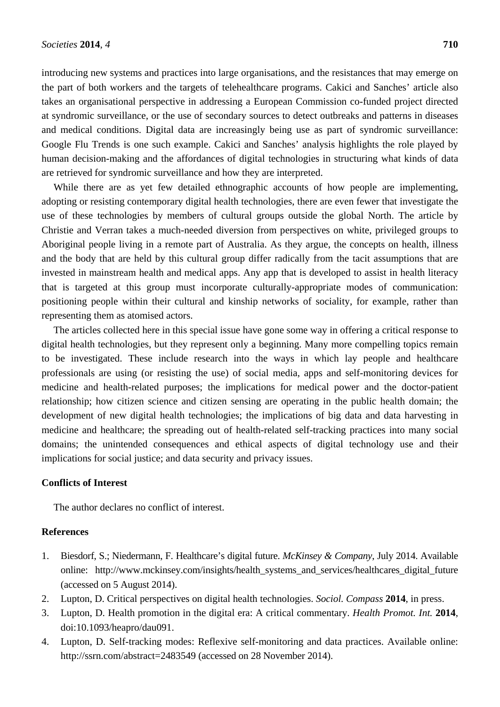introducing new systems and practices into large organisations, and the resistances that may emerge on the part of both workers and the targets of telehealthcare programs. Cakici and Sanches' article also takes an organisational perspective in addressing a European Commission co-funded project directed at syndromic surveillance, or the use of secondary sources to detect outbreaks and patterns in diseases and medical conditions. Digital data are increasingly being use as part of syndromic surveillance: Google Flu Trends is one such example. Cakici and Sanches' analysis highlights the role played by human decision-making and the affordances of digital technologies in structuring what kinds of data

While there are as yet few detailed ethnographic accounts of how people are implementing, adopting or resisting contemporary digital health technologies, there are even fewer that investigate the use of these technologies by members of cultural groups outside the global North. The article by Christie and Verran takes a much-needed diversion from perspectives on white, privileged groups to Aboriginal people living in a remote part of Australia. As they argue, the concepts on health, illness and the body that are held by this cultural group differ radically from the tacit assumptions that are invested in mainstream health and medical apps. Any app that is developed to assist in health literacy that is targeted at this group must incorporate culturally-appropriate modes of communication: positioning people within their cultural and kinship networks of sociality, for example, rather than representing them as atomised actors.

are retrieved for syndromic surveillance and how they are interpreted.

The articles collected here in this special issue have gone some way in offering a critical response to digital health technologies, but they represent only a beginning. Many more compelling topics remain to be investigated. These include research into the ways in which lay people and healthcare professionals are using (or resisting the use) of social media, apps and self-monitoring devices for medicine and health-related purposes; the implications for medical power and the doctor-patient relationship; how citizen science and citizen sensing are operating in the public health domain; the development of new digital health technologies; the implications of big data and data harvesting in medicine and healthcare; the spreading out of health-related self-tracking practices into many social domains; the unintended consequences and ethical aspects of digital technology use and their implications for social justice; and data security and privacy issues.

## **Conflicts of Interest**

The author declares no conflict of interest.

## **References**

- <span id="page-4-0"></span>1. Biesdorf, S.; Niedermann, F. Healthcare's digital future. *McKinsey & Company*, July 2014. Available online: http://www.mckinsey.com/insights/health\_systems\_and\_services/healthcares\_digital\_future (accessed on 5 August 2014).
- <span id="page-4-1"></span>2. Lupton, D. Critical perspectives on digital health technologies. *Sociol. Compass* **2014**, in press.
- <span id="page-4-2"></span>3. Lupton, D. Health promotion in the digital era: A critical commentary. *Health Promot. Int.* **2014**, doi:10.1093/heapro/dau091.
- <span id="page-4-3"></span>4. Lupton, D. Self-tracking modes: Reflexive self-monitoring and data practices. Available online: http://ssrn.com/abstract=2483549 (accessed on 28 November 2014).